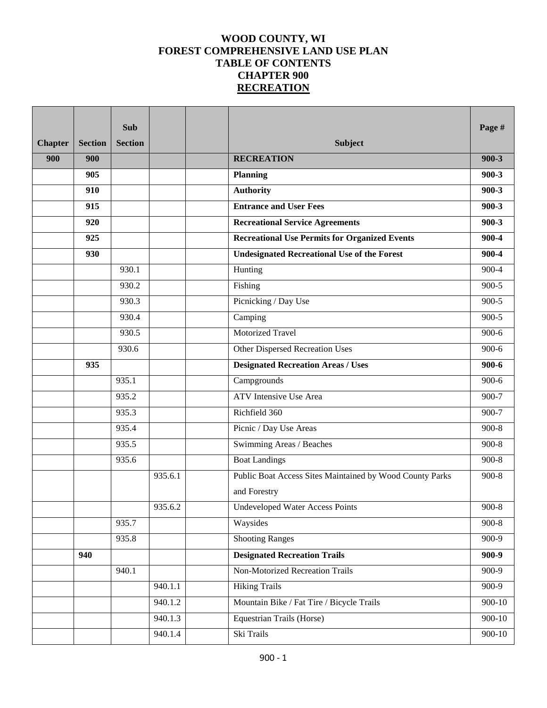# **WOOD COUNTY, WI FOREST COMPREHENSIVE LAND USE PLAN TABLE OF CONTENTS CHAPTER 900 RECREATION**

|                |                | <b>Sub</b>     |         |                                                          | Page #     |
|----------------|----------------|----------------|---------|----------------------------------------------------------|------------|
| <b>Chapter</b> | <b>Section</b> | <b>Section</b> |         | <b>Subject</b>                                           |            |
| 900            | 900            |                |         | <b>RECREATION</b>                                        | $900 - 3$  |
|                | 905            |                |         | <b>Planning</b>                                          | $900 - 3$  |
|                | 910            |                |         | <b>Authority</b>                                         | $900 - 3$  |
|                | 915            |                |         | <b>Entrance and User Fees</b>                            | $900 - 3$  |
|                | 920            |                |         | <b>Recreational Service Agreements</b>                   | $900 - 3$  |
|                | 925            |                |         | <b>Recreational Use Permits for Organized Events</b>     | 900-4      |
|                | 930            |                |         | <b>Undesignated Recreational Use of the Forest</b>       | 900-4      |
|                |                | 930.1          |         | Hunting                                                  | 900-4      |
|                |                | 930.2          |         | Fishing                                                  | $900 - 5$  |
|                |                | 930.3          |         | Picnicking / Day Use                                     | $900 - 5$  |
|                |                | 930.4          |         | Camping                                                  | $900 - 5$  |
|                |                | 930.5          |         | Motorized Travel                                         | $900-6$    |
|                |                | 930.6          |         | <b>Other Dispersed Recreation Uses</b>                   | $900-6$    |
|                | 935            |                |         | <b>Designated Recreation Areas / Uses</b>                | $900 - 6$  |
|                |                | 935.1          |         | Campgrounds                                              | $900 - 6$  |
|                |                | 935.2          |         | <b>ATV</b> Intensive Use Area                            | $900 - 7$  |
|                |                | 935.3          |         | Richfield 360                                            | 900-7      |
|                |                | 935.4          |         | Picnic / Day Use Areas                                   | $900-8$    |
|                |                | 935.5          |         | Swimming Areas / Beaches                                 | $900-8$    |
|                |                | 935.6          |         | <b>Boat Landings</b>                                     | $900 - 8$  |
|                |                |                | 935.6.1 | Public Boat Access Sites Maintained by Wood County Parks | $900 - 8$  |
|                |                |                |         | and Forestry                                             |            |
|                |                |                | 935.6.2 | Undeveloped Water Access Points                          | $900 - 8$  |
|                |                | 935.7          |         | Waysides                                                 | $900 - 8$  |
|                |                | 935.8          |         | <b>Shooting Ranges</b>                                   | $900-9$    |
|                | 940            |                |         | <b>Designated Recreation Trails</b>                      | $900 - 9$  |
|                |                | 940.1          |         | Non-Motorized Recreation Trails                          | $900-9$    |
|                |                |                | 940.1.1 | <b>Hiking Trails</b>                                     | 900-9      |
|                |                |                | 940.1.2 | Mountain Bike / Fat Tire / Bicycle Trails                | $900 - 10$ |
|                |                |                | 940.1.3 | Equestrian Trails (Horse)                                | 900-10     |
|                |                |                | 940.1.4 | Ski Trails                                               | $900 - 10$ |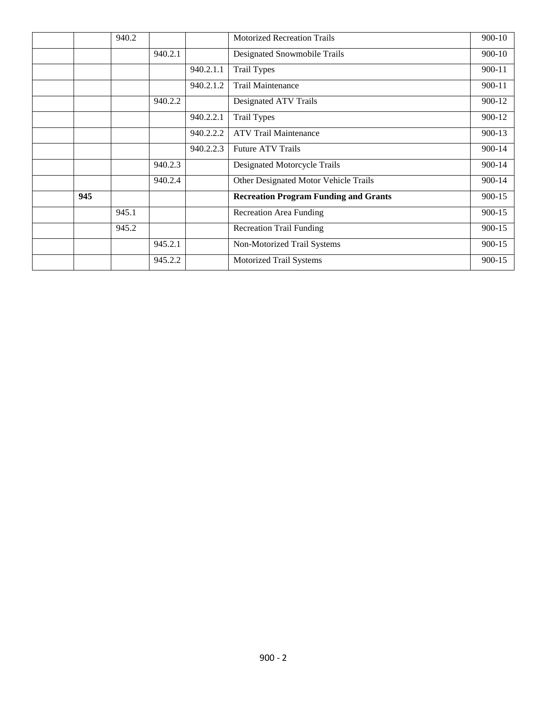|     | 940.2 |         |           | <b>Motorized Recreation Trails</b>           | 900-10     |
|-----|-------|---------|-----------|----------------------------------------------|------------|
|     |       | 940.2.1 |           | Designated Snowmobile Trails                 | 900-10     |
|     |       |         | 940.2.1.1 | <b>Trail Types</b>                           | $900 - 11$ |
|     |       |         | 940.2.1.2 | <b>Trail Maintenance</b>                     | $900 - 11$ |
|     |       | 940.2.2 |           | Designated ATV Trails                        | 900-12     |
|     |       |         | 940.2.2.1 | <b>Trail Types</b>                           | 900-12     |
|     |       |         | 940.2.2.2 | <b>ATV Trail Maintenance</b>                 | 900-13     |
|     |       |         | 940.2.2.3 | <b>Future ATV Trails</b>                     | 900-14     |
|     |       | 940.2.3 |           | <b>Designated Motorcycle Trails</b>          | 900-14     |
|     |       | 940.2.4 |           | Other Designated Motor Vehicle Trails        | 900-14     |
| 945 |       |         |           | <b>Recreation Program Funding and Grants</b> | 900-15     |
|     | 945.1 |         |           | <b>Recreation Area Funding</b>               | 900-15     |
|     | 945.2 |         |           | <b>Recreation Trail Funding</b>              | 900-15     |
|     |       | 945.2.1 |           | Non-Motorized Trail Systems                  | $900 - 15$ |
|     |       | 945.2.2 |           | <b>Motorized Trail Systems</b>               | 900-15     |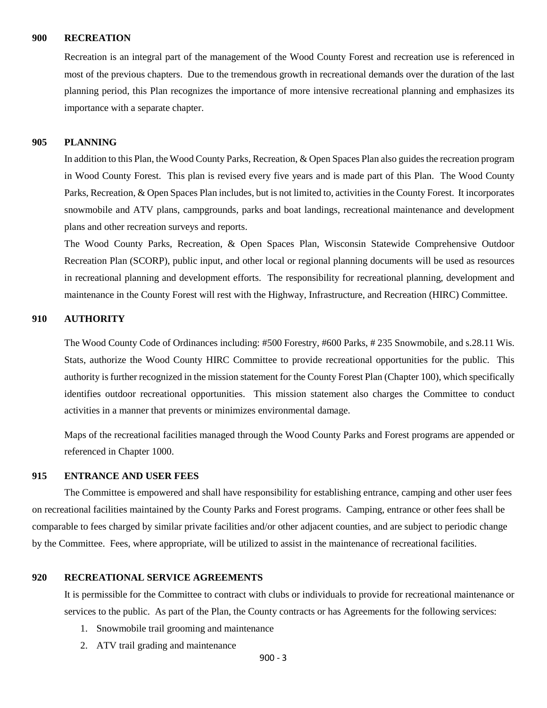#### **900 RECREATION**

Recreation is an integral part of the management of the Wood County Forest and recreation use is referenced in most of the previous chapters. Due to the tremendous growth in recreational demands over the duration of the last planning period, this Plan recognizes the importance of more intensive recreational planning and emphasizes its importance with a separate chapter.

# **905 PLANNING**

In addition to this Plan, the Wood County Parks, Recreation, & Open Spaces Plan also guides the recreation program in Wood County Forest. This plan is revised every five years and is made part of this Plan. The Wood County Parks, Recreation, & Open Spaces Plan includes, but is not limited to, activities in the County Forest. It incorporates snowmobile and ATV plans, campgrounds, parks and boat landings, recreational maintenance and development plans and other recreation surveys and reports.

The Wood County Parks, Recreation, & Open Spaces Plan, Wisconsin Statewide Comprehensive Outdoor Recreation Plan (SCORP), public input, and other local or regional planning documents will be used as resources in recreational planning and development efforts. The responsibility for recreational planning, development and maintenance in the County Forest will rest with the Highway, Infrastructure, and Recreation (HIRC) Committee.

# **910 AUTHORITY**

The Wood County Code of Ordinances including: #500 Forestry, #600 Parks, # 235 Snowmobile, and s.28.11 Wis. Stats, authorize the Wood County HIRC Committee to provide recreational opportunities for the public. This authority is further recognized in the mission statement for the County Forest Plan (Chapter 100), which specifically identifies outdoor recreational opportunities. This mission statement also charges the Committee to conduct activities in a manner that prevents or minimizes environmental damage.

Maps of the recreational facilities managed through the Wood County Parks and Forest programs are appended or referenced in Chapter 1000.

#### **915 ENTRANCE AND USER FEES**

The Committee is empowered and shall have responsibility for establishing entrance, camping and other user fees on recreational facilities maintained by the County Parks and Forest programs. Camping, entrance or other fees shall be comparable to fees charged by similar private facilities and/or other adjacent counties, and are subject to periodic change by the Committee. Fees, where appropriate, will be utilized to assist in the maintenance of recreational facilities.

### **920 RECREATIONAL SERVICE AGREEMENTS**

It is permissible for the Committee to contract with clubs or individuals to provide for recreational maintenance or services to the public. As part of the Plan, the County contracts or has Agreements for the following services:

- 1. Snowmobile trail grooming and maintenance
- 2. ATV trail grading and maintenance

900 - 3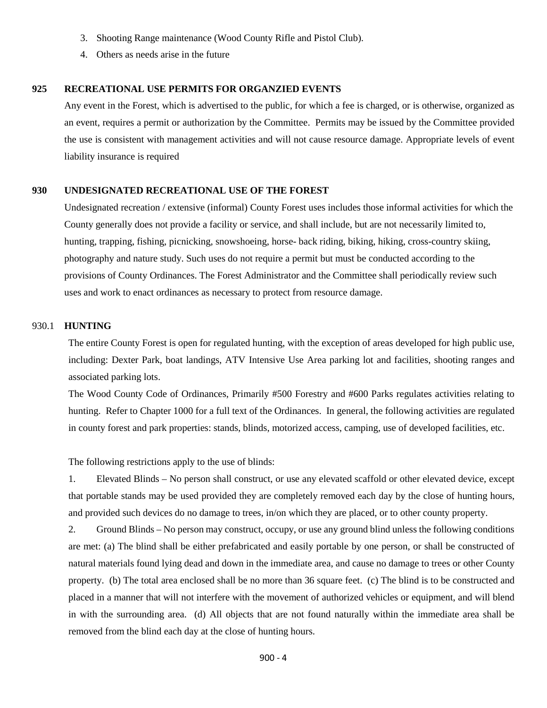- 3. Shooting Range maintenance (Wood County Rifle and Pistol Club).
- 4. Others as needs arise in the future

# **925 RECREATIONAL USE PERMITS FOR ORGANZIED EVENTS**

Any event in the Forest, which is advertised to the public, for which a fee is charged, or is otherwise, organized as an event, requires a permit or authorization by the Committee. Permits may be issued by the Committee provided the use is consistent with management activities and will not cause resource damage. Appropriate levels of event liability insurance is required

## **930 UNDESIGNATED RECREATIONAL USE OF THE FOREST**

Undesignated recreation / extensive (informal) County Forest uses includes those informal activities for which the County generally does not provide a facility or service, and shall include, but are not necessarily limited to, hunting, trapping, fishing, picnicking, snowshoeing, horse- back riding, biking, hiking, cross-country skiing, photography and nature study. Such uses do not require a permit but must be conducted according to the provisions of County Ordinances. The Forest Administrator and the Committee shall periodically review such uses and work to enact ordinances as necessary to protect from resource damage.

### 930.1 **HUNTING**

The entire County Forest is open for regulated hunting, with the exception of areas developed for high public use, including: Dexter Park, boat landings, ATV Intensive Use Area parking lot and facilities, shooting ranges and associated parking lots.

The Wood County Code of Ordinances, Primarily #500 Forestry and #600 Parks regulates activities relating to hunting. Refer to Chapter 1000 for a full text of the Ordinances. In general, the following activities are regulated in county forest and park properties: stands, blinds, motorized access, camping, use of developed facilities, etc.

The following restrictions apply to the use of blinds:

1. Elevated Blinds – No person shall construct, or use any elevated scaffold or other elevated device, except that portable stands may be used provided they are completely removed each day by the close of hunting hours, and provided such devices do no damage to trees, in/on which they are placed, or to other county property.

2. Ground Blinds – No person may construct, occupy, or use any ground blind unless the following conditions are met: (a) The blind shall be either prefabricated and easily portable by one person, or shall be constructed of natural materials found lying dead and down in the immediate area, and cause no damage to trees or other County property. (b) The total area enclosed shall be no more than 36 square feet. (c) The blind is to be constructed and placed in a manner that will not interfere with the movement of authorized vehicles or equipment, and will blend in with the surrounding area. (d) All objects that are not found naturally within the immediate area shall be removed from the blind each day at the close of hunting hours.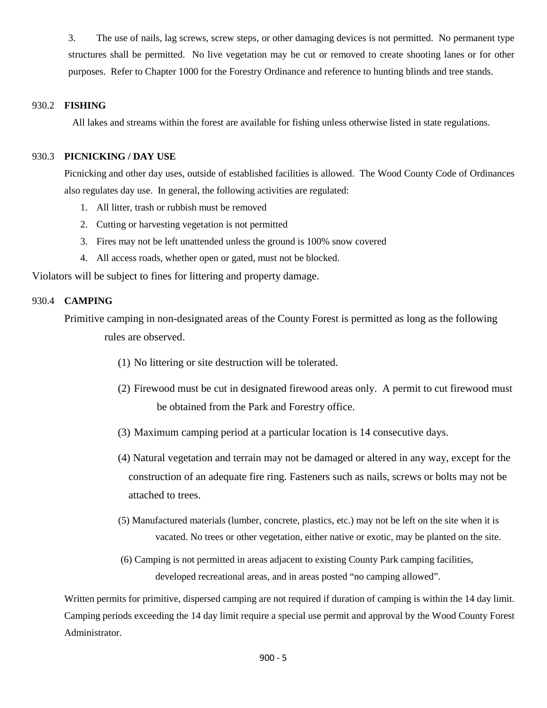3. The use of nails, lag screws, screw steps, or other damaging devices is not permitted. No permanent type structures shall be permitted. No live vegetation may be cut or removed to create shooting lanes or for other purposes. Refer to Chapter 1000 for the Forestry Ordinance and reference to hunting blinds and tree stands.

# 930.2 **FISHING**

All lakes and streams within the forest are available for fishing unless otherwise listed in state regulations.

# 930.3 **PICNICKING / DAY USE**

Picnicking and other day uses, outside of established facilities is allowed. The Wood County Code of Ordinances also regulates day use. In general, the following activities are regulated:

- 1. All litter, trash or rubbish must be removed
- 2. Cutting or harvesting vegetation is not permitted
- 3. Fires may not be left unattended unless the ground is 100% snow covered
- 4. All access roads, whether open or gated, must not be blocked.

Violators will be subject to fines for littering and property damage.

# 930.4 **CAMPING**

Primitive camping in non-designated areas of the County Forest is permitted as long as the following rules are observed.

- (1) No littering or site destruction will be tolerated.
- (2) Firewood must be cut in designated firewood areas only. A permit to cut firewood must be obtained from the Park and Forestry office.
- (3) Maximum camping period at a particular location is 14 consecutive days.
- (4) Natural vegetation and terrain may not be damaged or altered in any way, except for the construction of an adequate fire ring. Fasteners such as nails, screws or bolts may not be attached to trees.
- (5) Manufactured materials (lumber, concrete, plastics, etc.) may not be left on the site when it is vacated. No trees or other vegetation, either native or exotic, may be planted on the site.
- (6) Camping is not permitted in areas adjacent to existing County Park camping facilities, developed recreational areas, and in areas posted "no camping allowed".

Written permits for primitive, dispersed camping are not required if duration of camping is within the 14 day limit. Camping periods exceeding the 14 day limit require a special use permit and approval by the Wood County Forest Administrator.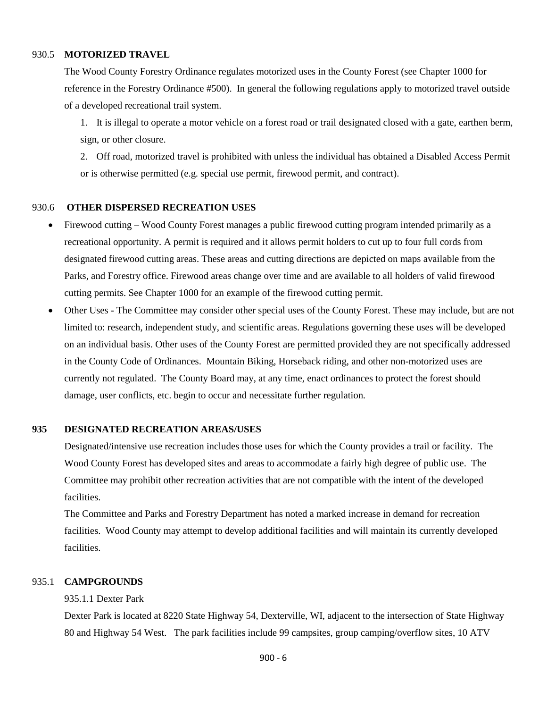# 930.5 **MOTORIZED TRAVEL**

The Wood County Forestry Ordinance regulates motorized uses in the County Forest (see Chapter 1000 for reference in the Forestry Ordinance #500). In general the following regulations apply to motorized travel outside of a developed recreational trail system.

1. It is illegal to operate a motor vehicle on a forest road or trail designated closed with a gate, earthen berm, sign, or other closure.

2. Off road, motorized travel is prohibited with unless the individual has obtained a Disabled Access Permit or is otherwise permitted (e.g. special use permit, firewood permit, and contract).

## 930.6 **OTHER DISPERSED RECREATION USES**

- Firewood cutting Wood County Forest manages a public firewood cutting program intended primarily as a recreational opportunity. A permit is required and it allows permit holders to cut up to four full cords from designated firewood cutting areas. These areas and cutting directions are depicted on maps available from the Parks, and Forestry office. Firewood areas change over time and are available to all holders of valid firewood cutting permits. See Chapter 1000 for an example of the firewood cutting permit.
- Other Uses The Committee may consider other special uses of the County Forest. These may include, but are not limited to: research, independent study, and scientific areas. Regulations governing these uses will be developed on an individual basis. Other uses of the County Forest are permitted provided they are not specifically addressed in the County Code of Ordinances. Mountain Biking, Horseback riding, and other non-motorized uses are currently not regulated. The County Board may, at any time, enact ordinances to protect the forest should damage, user conflicts, etc. begin to occur and necessitate further regulation*.*

### **935 DESIGNATED RECREATION AREAS/USES**

Designated/intensive use recreation includes those uses for which the County provides a trail or facility. The Wood County Forest has developed sites and areas to accommodate a fairly high degree of public use. The Committee may prohibit other recreation activities that are not compatible with the intent of the developed facilities.

The Committee and Parks and Forestry Department has noted a marked increase in demand for recreation facilities. Wood County may attempt to develop additional facilities and will maintain its currently developed facilities.

# 935.1 **CAMPGROUNDS**

935.1.1 Dexter Park

Dexter Park is located at 8220 State Highway 54, Dexterville, WI, adjacent to the intersection of State Highway 80 and Highway 54 West. The park facilities include 99 campsites, group camping/overflow sites, 10 ATV

900 - 6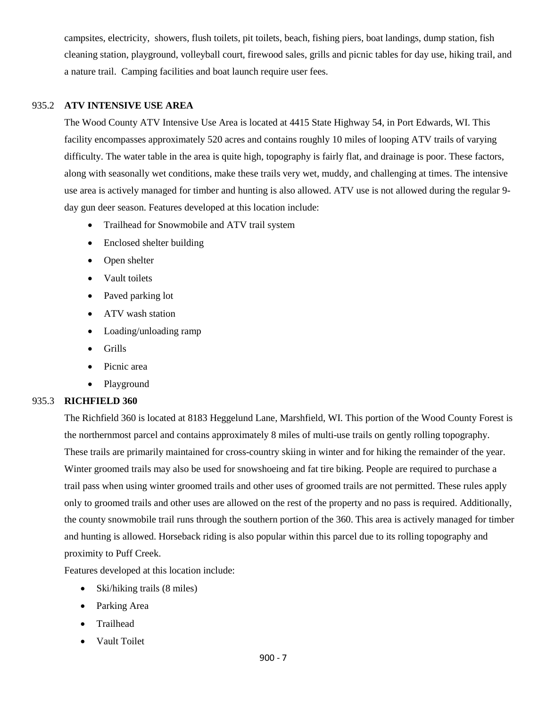campsites, electricity, showers, flush toilets, pit toilets, beach, fishing piers, boat landings, dump station, fish cleaning station, playground, volleyball court, firewood sales, grills and picnic tables for day use, hiking trail, and a nature trail. Camping facilities and boat launch require user fees.

# 935.2 **ATV INTENSIVE USE AREA**

The Wood County ATV Intensive Use Area is located at 4415 State Highway 54, in Port Edwards, WI. This facility encompasses approximately 520 acres and contains roughly 10 miles of looping ATV trails of varying difficulty. The water table in the area is quite high, topography is fairly flat, and drainage is poor. These factors, along with seasonally wet conditions, make these trails very wet, muddy, and challenging at times. The intensive use area is actively managed for timber and hunting is also allowed. ATV use is not allowed during the regular 9 day gun deer season. Features developed at this location include:

- Trailhead for Snowmobile and ATV trail system
- Enclosed shelter building
- Open shelter
- Vault toilets
- Paved parking lot
- ATV wash station
- Loading/unloading ramp
- Grills
- Picnic area
- Playground

# 935.3 **RICHFIELD 360**

The Richfield 360 is located at 8183 Heggelund Lane, Marshfield, WI. This portion of the Wood County Forest is the northernmost parcel and contains approximately 8 miles of multi-use trails on gently rolling topography. These trails are primarily maintained for cross-country skiing in winter and for hiking the remainder of the year. Winter groomed trails may also be used for snowshoeing and fat tire biking. People are required to purchase a trail pass when using winter groomed trails and other uses of groomed trails are not permitted. These rules apply only to groomed trails and other uses are allowed on the rest of the property and no pass is required. Additionally, the county snowmobile trail runs through the southern portion of the 360. This area is actively managed for timber and hunting is allowed. Horseback riding is also popular within this parcel due to its rolling topography and proximity to Puff Creek.

Features developed at this location include:

- Ski/hiking trails (8 miles)
- Parking Area
- Trailhead
- Vault Toilet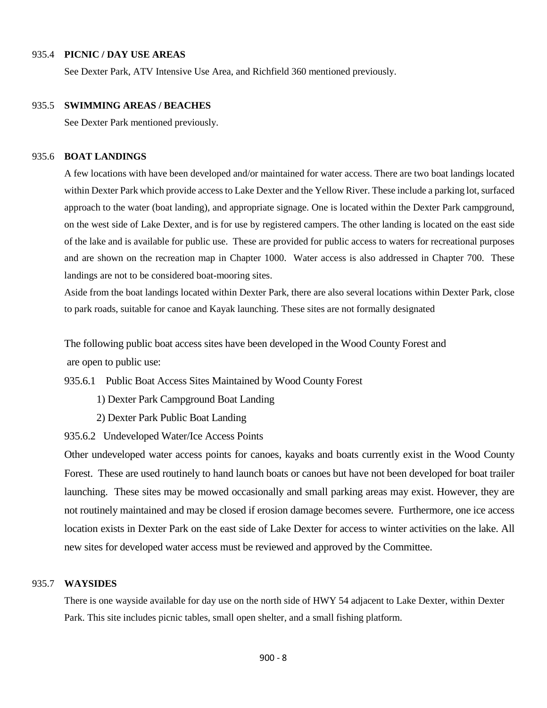# 935.4 **PICNIC / DAY USE AREAS**

See Dexter Park, ATV Intensive Use Area, and Richfield 360 mentioned previously.

## 935.5 **SWIMMING AREAS / BEACHES**

See Dexter Park mentioned previously.

#### 935.6 **BOAT LANDINGS**

A few locations with have been developed and/or maintained for water access. There are two boat landings located within Dexter Park which provide access to Lake Dexter and the Yellow River. These include a parking lot, surfaced approach to the water (boat landing), and appropriate signage. One is located within the Dexter Park campground, on the west side of Lake Dexter, and is for use by registered campers. The other landing is located on the east side of the lake and is available for public use. These are provided for public access to waters for recreational purposes and are shown on the recreation map in Chapter 1000. Water access is also addressed in Chapter 700. These landings are not to be considered boat-mooring sites.

Aside from the boat landings located within Dexter Park, there are also several locations within Dexter Park, close to park roads, suitable for canoe and Kayak launching. These sites are not formally designated

The following public boat access sites have been developed in the Wood County Forest and are open to public use:

935.6.1 Public Boat Access Sites Maintained by Wood County Forest

- 1) Dexter Park Campground Boat Landing
- 2) Dexter Park Public Boat Landing

935.6.2 Undeveloped Water/Ice Access Points

Other undeveloped water access points for canoes, kayaks and boats currently exist in the Wood County Forest. These are used routinely to hand launch boats or canoes but have not been developed for boat trailer launching. These sites may be mowed occasionally and small parking areas may exist. However, they are not routinely maintained and may be closed if erosion damage becomes severe. Furthermore, one ice access location exists in Dexter Park on the east side of Lake Dexter for access to winter activities on the lake. All new sites for developed water access must be reviewed and approved by the Committee.

#### 935.7 **WAYSIDES**

There is one wayside available for day use on the north side of HWY 54 adjacent to Lake Dexter, within Dexter Park. This site includes picnic tables, small open shelter, and a small fishing platform.

900 - 8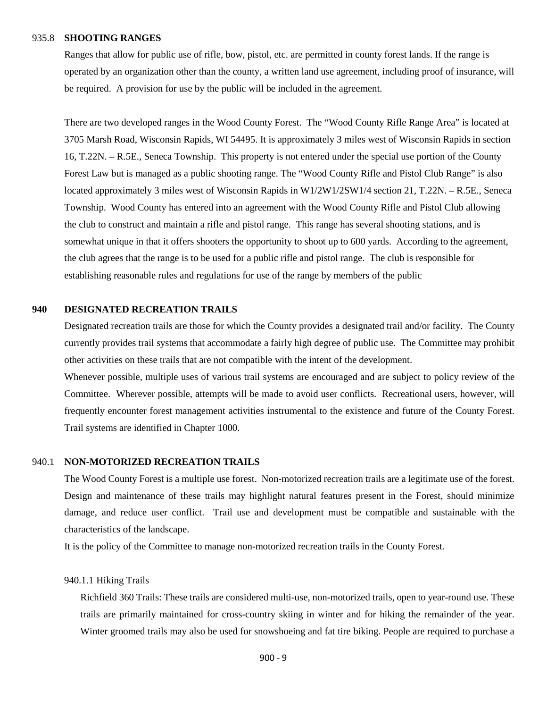#### 935.8 **SHOOTING RANGES**

Ranges that allow for public use of rifle, bow, pistol, etc. are permitted in county forest lands. If the range is operated by an organization other than the county, a written land use agreement, including proof of insurance, will be required. A provision for use by the public will be included in the agreement.

There are two developed ranges in the Wood County Forest. The "Wood County Rifle Range Area" is located at 3705 Marsh Road, Wisconsin Rapids, WI 54495. It is approximately 3 miles west of Wisconsin Rapids in section 16, T.22N. – R.5E., Seneca Township. This property is not entered under the special use portion of the County Forest Law but is managed as a public shooting range. The "Wood County Rifle and Pistol Club Range" is also located approximately 3 miles west of Wisconsin Rapids in W1/2W1/2SW1/4 section 21, T.22N. – R.5E., Seneca Township. Wood County has entered into an agreement with the Wood County Rifle and Pistol Club allowing the club to construct and maintain a rifle and pistol range. This range has several shooting stations, and is somewhat unique in that it offers shooters the opportunity to shoot up to 600 yards. According to the agreement, the club agrees that the range is to be used for a public rifle and pistol range. The club is responsible for establishing reasonable rules and regulations for use of the range by members of the public

# **940 DESIGNATED RECREATION TRAILS**

Designated recreation trails are those for which the County provides a designated trail and/or facility. The County currently provides trail systems that accommodate a fairly high degree of public use. The Committee may prohibit other activities on these trails that are not compatible with the intent of the development.

Whenever possible, multiple uses of various trail systems are encouraged and are subject to policy review of the Committee. Wherever possible, attempts will be made to avoid user conflicts. Recreational users, however, will frequently encounter forest management activities instrumental to the existence and future of the County Forest. Trail systems are identified in Chapter 1000.

# 940.1 **NON-MOTORIZED RECREATION TRAILS**

The Wood County Forest is a multiple use forest. Non-motorized recreation trails are a legitimate use of the forest. Design and maintenance of these trails may highlight natural features present in the Forest, should minimize damage, and reduce user conflict. Trail use and development must be compatible and sustainable with the characteristics of the landscape.

It is the policy of the Committee to manage non-motorized recreation trails in the County Forest.

# 940.1.1 Hiking Trails

 Richfield 360 Trails: These trails are considered multi-use, non-motorized trails, open to year-round use. These trails are primarily maintained for cross-country skiing in winter and for hiking the remainder of the year. Winter groomed trails may also be used for snowshoeing and fat tire biking. People are required to purchase a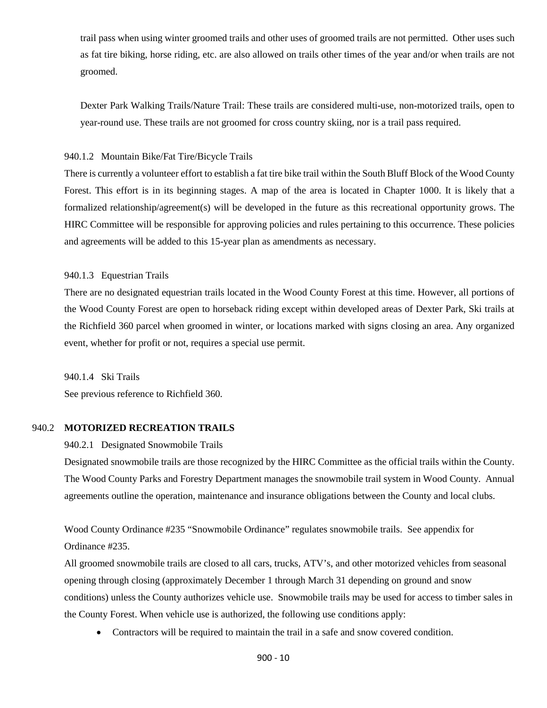trail pass when using winter groomed trails and other uses of groomed trails are not permitted. Other uses such as fat tire biking, horse riding, etc. are also allowed on trails other times of the year and/or when trails are not groomed.

Dexter Park Walking Trails/Nature Trail: These trails are considered multi-use, non-motorized trails, open to year-round use. These trails are not groomed for cross country skiing, nor is a trail pass required.

### 940.1.2 Mountain Bike/Fat Tire/Bicycle Trails

 There is currently a volunteer effort to establish a fat tire bike trail within the South Bluff Block of the Wood County Forest. This effort is in its beginning stages. A map of the area is located in Chapter 1000. It is likely that a formalized relationship/agreement(s) will be developed in the future as this recreational opportunity grows. The HIRC Committee will be responsible for approving policies and rules pertaining to this occurrence. These policies and agreements will be added to this 15-year plan as amendments as necessary.

940.1.3 Equestrian Trails

There are no designated equestrian trails located in the Wood County Forest at this time. However, all portions of the Wood County Forest are open to horseback riding except within developed areas of Dexter Park, Ski trails at the Richfield 360 parcel when groomed in winter, or locations marked with signs closing an area. Any organized event, whether for profit or not, requires a special use permit.

940.1.4 Ski Trails See previous reference to Richfield 360.

# 940.2 **MOTORIZED RECREATION TRAILS**

940.2.1 Designated Snowmobile Trails

Designated snowmobile trails are those recognized by the HIRC Committee as the official trails within the County. The Wood County Parks and Forestry Department manages the snowmobile trail system in Wood County. Annual agreements outline the operation, maintenance and insurance obligations between the County and local clubs.

Wood County Ordinance #235 "Snowmobile Ordinance" regulates snowmobile trails. See appendix for Ordinance #235.

All groomed snowmobile trails are closed to all cars, trucks, ATV's, and other motorized vehicles from seasonal opening through closing (approximately December 1 through March 31 depending on ground and snow conditions) unless the County authorizes vehicle use. Snowmobile trails may be used for access to timber sales in the County Forest. When vehicle use is authorized, the following use conditions apply:

• Contractors will be required to maintain the trail in a safe and snow covered condition.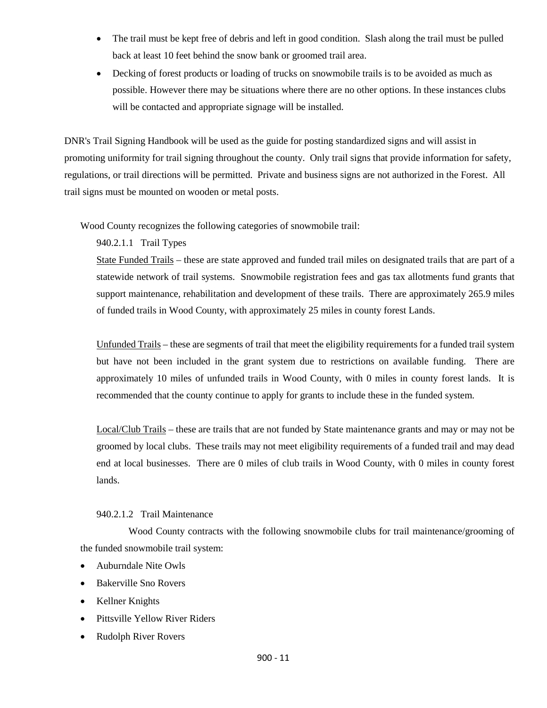- The trail must be kept free of debris and left in good condition. Slash along the trail must be pulled back at least 10 feet behind the snow bank or groomed trail area.
- Decking of forest products or loading of trucks on snowmobile trails is to be avoided as much as possible. However there may be situations where there are no other options. In these instances clubs will be contacted and appropriate signage will be installed.

DNR's Trail Signing Handbook will be used as the guide for posting standardized signs and will assist in promoting uniformity for trail signing throughout the county. Only trail signs that provide information for safety, regulations, or trail directions will be permitted. Private and business signs are not authorized in the Forest. All trail signs must be mounted on wooden or metal posts.

Wood County recognizes the following categories of snowmobile trail:

940.2.1.1 Trail Types

State Funded Trails – these are state approved and funded trail miles on designated trails that are part of a statewide network of trail systems. Snowmobile registration fees and gas tax allotments fund grants that support maintenance, rehabilitation and development of these trails. There are approximately 265.9 miles of funded trails in Wood County, with approximately 25 miles in county forest Lands.

Unfunded Trails – these are segments of trail that meet the eligibility requirements for a funded trail system but have not been included in the grant system due to restrictions on available funding. There are approximately 10 miles of unfunded trails in Wood County, with 0 miles in county forest lands. It is recommended that the county continue to apply for grants to include these in the funded system.

Local/Club Trails – these are trails that are not funded by State maintenance grants and may or may not be groomed by local clubs. These trails may not meet eligibility requirements of a funded trail and may dead end at local businesses. There are 0 miles of club trails in Wood County, with 0 miles in county forest lands.

# 940.2.1.2 Trail Maintenance

Wood County contracts with the following snowmobile clubs for trail maintenance/grooming of the funded snowmobile trail system:

- Auburndale Nite Owls
- Bakerville Sno Rovers
- Kellner Knights
- Pittsville Yellow River Riders
- Rudolph River Rovers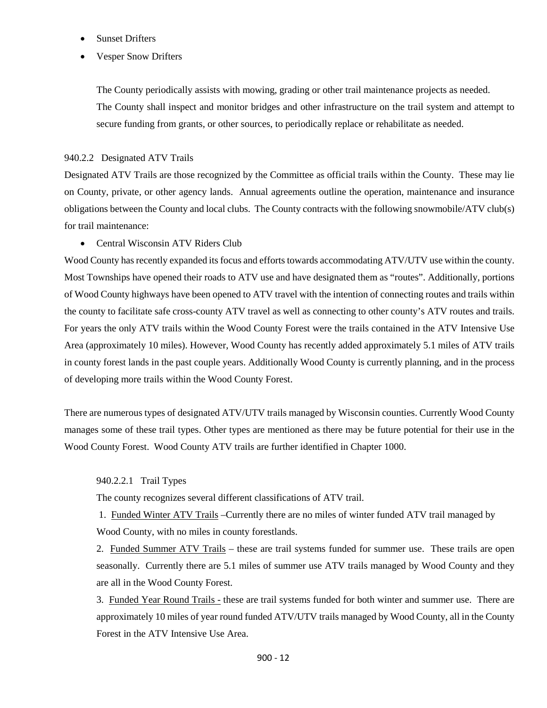- Sunset Drifters
- Vesper Snow Drifters

The County periodically assists with mowing, grading or other trail maintenance projects as needed. The County shall inspect and monitor bridges and other infrastructure on the trail system and attempt to secure funding from grants, or other sources, to periodically replace or rehabilitate as needed.

### 940.2.2 Designated ATV Trails

Designated ATV Trails are those recognized by the Committee as official trails within the County. These may lie on County, private, or other agency lands. Annual agreements outline the operation, maintenance and insurance obligations between the County and local clubs. The County contracts with the following snowmobile/ATV club(s) for trail maintenance:

• Central Wisconsin ATV Riders Club

Wood County has recently expanded its focus and efforts towards accommodating ATV/UTV use within the county. Most Townships have opened their roads to ATV use and have designated them as "routes". Additionally, portions of Wood County highways have been opened to ATV travel with the intention of connecting routes and trails within the county to facilitate safe cross-county ATV travel as well as connecting to other county's ATV routes and trails. For years the only ATV trails within the Wood County Forest were the trails contained in the ATV Intensive Use Area (approximately 10 miles). However, Wood County has recently added approximately 5.1 miles of ATV trails in county forest lands in the past couple years. Additionally Wood County is currently planning, and in the process of developing more trails within the Wood County Forest.

There are numerous types of designated ATV/UTV trails managed by Wisconsin counties. Currently Wood County manages some of these trail types. Other types are mentioned as there may be future potential for their use in the Wood County Forest. Wood County ATV trails are further identified in Chapter 1000.

### 940.2.2.1 Trail Types

The county recognizes several different classifications of ATV trail.

1. Funded Winter ATV Trails –Currently there are no miles of winter funded ATV trail managed by Wood County, with no miles in county forestlands.

2. Funded Summer ATV Trails – these are trail systems funded for summer use. These trails are open seasonally. Currently there are 5.1 miles of summer use ATV trails managed by Wood County and they are all in the Wood County Forest.

3. Funded Year Round Trails - these are trail systems funded for both winter and summer use. There are approximately 10 miles of year round funded ATV/UTV trails managed by Wood County, all in the County Forest in the ATV Intensive Use Area.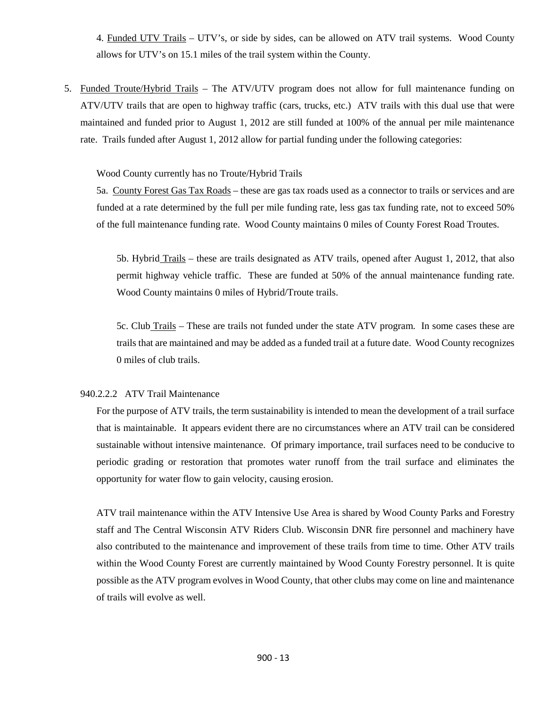4. Funded UTV Trails – UTV's, or side by sides, can be allowed on ATV trail systems. Wood County allows for UTV's on 15.1 miles of the trail system within the County.

5. Funded Troute/Hybrid Trails – The ATV/UTV program does not allow for full maintenance funding on ATV/UTV trails that are open to highway traffic (cars, trucks, etc.) ATV trails with this dual use that were maintained and funded prior to August 1, 2012 are still funded at 100% of the annual per mile maintenance rate. Trails funded after August 1, 2012 allow for partial funding under the following categories:

Wood County currently has no Troute/Hybrid Trails

5a. County Forest Gas Tax Roads – these are gas tax roads used as a connector to trails or services and are funded at a rate determined by the full per mile funding rate, less gas tax funding rate, not to exceed 50% of the full maintenance funding rate. Wood County maintains 0 miles of County Forest Road Troutes.

5b. Hybrid Trails – these are trails designated as ATV trails, opened after August 1, 2012, that also permit highway vehicle traffic. These are funded at 50% of the annual maintenance funding rate. Wood County maintains 0 miles of Hybrid/Troute trails.

5c. Club Trails – These are trails not funded under the state ATV program. In some cases these are trails that are maintained and may be added as a funded trail at a future date. Wood County recognizes 0 miles of club trails.

# 940.2.2.2 ATV Trail Maintenance

For the purpose of ATV trails, the term sustainability is intended to mean the development of a trail surface that is maintainable. It appears evident there are no circumstances where an ATV trail can be considered sustainable without intensive maintenance. Of primary importance, trail surfaces need to be conducive to periodic grading or restoration that promotes water runoff from the trail surface and eliminates the opportunity for water flow to gain velocity, causing erosion.

ATV trail maintenance within the ATV Intensive Use Area is shared by Wood County Parks and Forestry staff and The Central Wisconsin ATV Riders Club. Wisconsin DNR fire personnel and machinery have also contributed to the maintenance and improvement of these trails from time to time. Other ATV trails within the Wood County Forest are currently maintained by Wood County Forestry personnel. It is quite possible as the ATV program evolves in Wood County, that other clubs may come on line and maintenance of trails will evolve as well.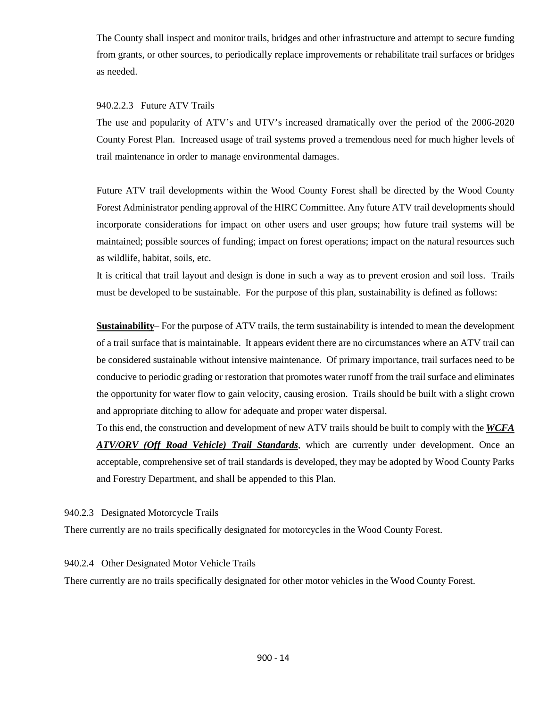The County shall inspect and monitor trails, bridges and other infrastructure and attempt to secure funding from grants, or other sources, to periodically replace improvements or rehabilitate trail surfaces or bridges as needed.

# 940.2.2.3 Future ATV Trails

The use and popularity of ATV's and UTV's increased dramatically over the period of the 2006-2020 County Forest Plan. Increased usage of trail systems proved a tremendous need for much higher levels of trail maintenance in order to manage environmental damages.

Future ATV trail developments within the Wood County Forest shall be directed by the Wood County Forest Administrator pending approval of the HIRC Committee. Any future ATV trail developments should incorporate considerations for impact on other users and user groups; how future trail systems will be maintained; possible sources of funding; impact on forest operations; impact on the natural resources such as wildlife, habitat, soils, etc.

It is critical that trail layout and design is done in such a way as to prevent erosion and soil loss. Trails must be developed to be sustainable. For the purpose of this plan, sustainability is defined as follows:

**Sustainability**– For the purpose of ATV trails, the term sustainability is intended to mean the development of a trail surface that is maintainable. It appears evident there are no circumstances where an ATV trail can be considered sustainable without intensive maintenance. Of primary importance, trail surfaces need to be conducive to periodic grading or restoration that promotes water runoff from the trail surface and eliminates the opportunity for water flow to gain velocity, causing erosion. Trails should be built with a slight crown and appropriate ditching to allow for adequate and proper water dispersal.

To this end, the construction and development of new ATV trails should be built to comply with the *WCFA ATV/ORV (Off Road Vehicle) Trail Standards*, which are currently under development. Once an acceptable, comprehensive set of trail standards is developed, they may be adopted by Wood County Parks and Forestry Department, and shall be appended to this Plan.

940.2.3 Designated Motorcycle Trails

There currently are no trails specifically designated for motorcycles in the Wood County Forest.

# 940.2.4 Other Designated Motor Vehicle Trails

There currently are no trails specifically designated for other motor vehicles in the Wood County Forest.